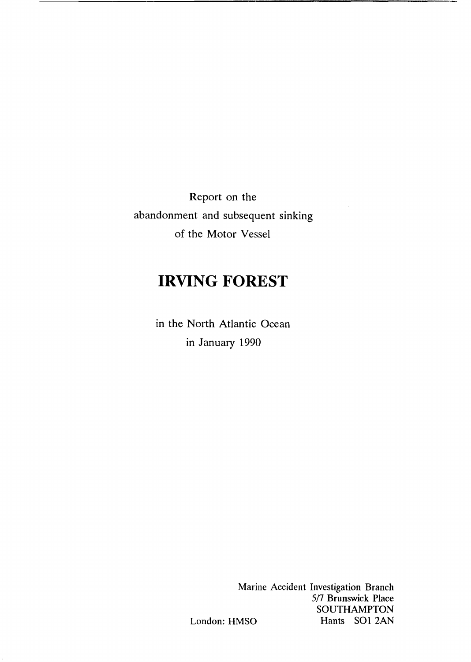Report on the abandonment and subsequent sinking of the Motor Vessel

# **IRVING FOREST**

in the North Atlantic Ocean in January 1990

> Marine Accident Investigation Branch 5/7 Brunswick Place SOUTHAMPTON London: HMSO Hants SO1 2AN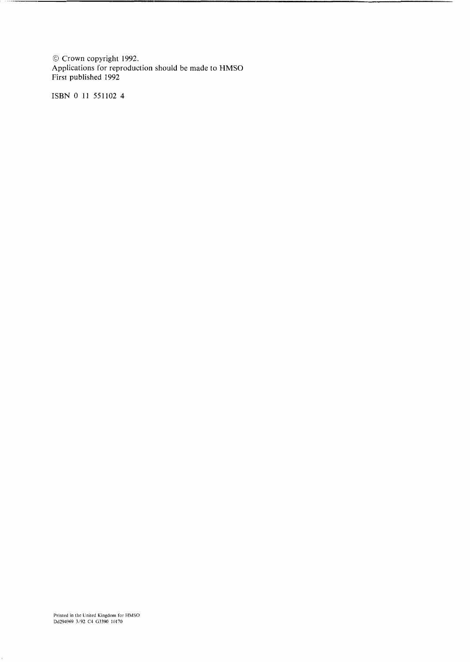Crown copyright 1992. Applications for reproduction should be made to HMSO First published 1992

ISBN 0 11 551102 4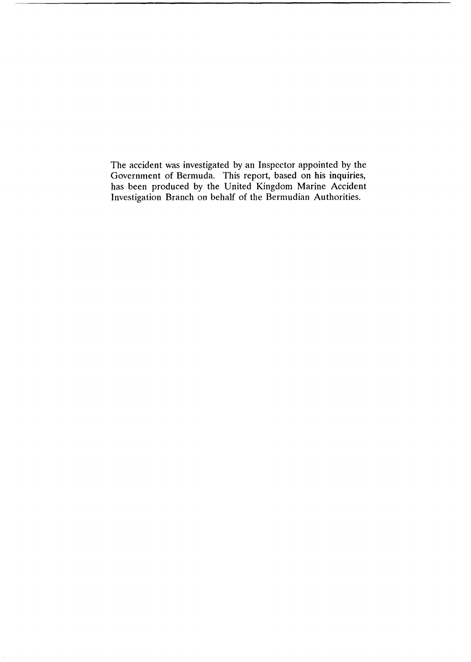The accident was investigated by an Inspector appointed by the Government of Bermuda. This report, based on his inquiries, has been produced by the United Kingdom Marine Accident Investigation Branch on behalf of the Bermudian Authorities.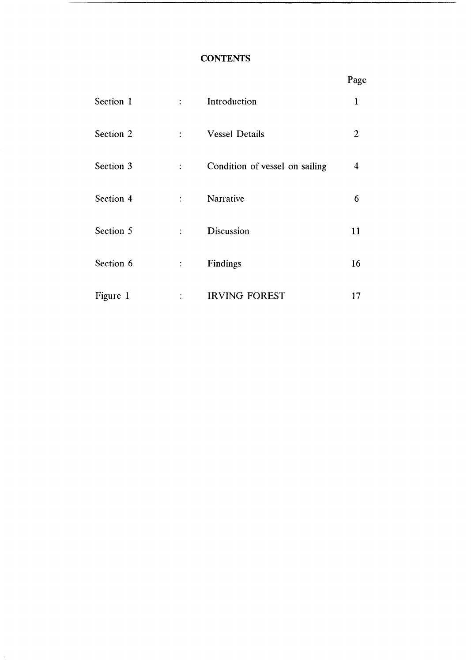# **CONTENTS**

Section 2

|           |                             |                       | Page |
|-----------|-----------------------------|-----------------------|------|
| Section 1 | $\mathcal{I}^{\mathcal{I}}$ | Introduction          |      |
| Section 2 | $\mathbb{R}^n$              | <b>Vessel Details</b> |      |

| Section 3 | $\ddot{\cdot}$ | Condition of vessel on sailing | 4  |
|-----------|----------------|--------------------------------|----|
| Section 4 | ÷              | <b>Narrative</b>               | 6  |
| Section 5 | ÷              | Discussion                     | 11 |
| Section 6 | $\ddot{\cdot}$ | Findings                       | 16 |
| Figure 1  | ٠              | <b>IRVING FOREST</b>           |    |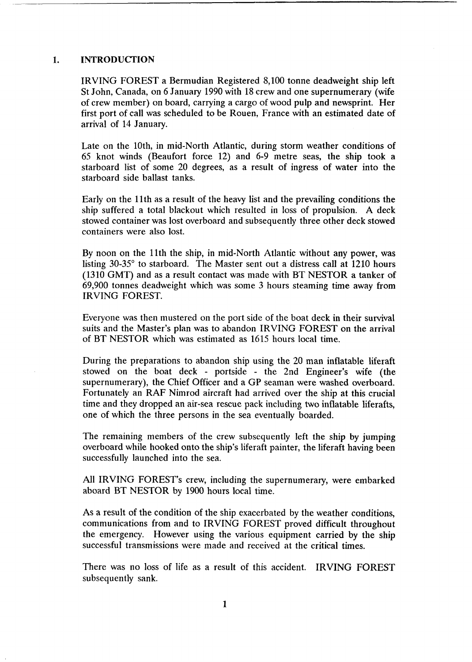#### <span id="page-4-0"></span>**1. INTRODUCTION**

IRVING FOREST a Bermudian Registered 8,100 tonne deadweight ship left St John, Canada, on 6 January 1990 with 18 crew and one supernumerary (wife of crew member) on board, carrying a cargo of wood pulp and newsprint. Her first port of call was scheduled to be Rouen, France with an estimated date of arrival of **14** January.

Late on the 10th, in mid-North Atlantic, during storm weather conditions of *65* knot winds (Beaufort force 12) and 6-9 metre seas, the ship took a starboard list of some 20 degrees, as a result of ingress of water into the starboard side ballast tanks.

Early on the 11th as a result of the heavy list and the prevailing conditions the ship suffered a total blackout which resulted in loss of propulsion. A deck stowed container was lost overboard and subsequently three other deck stowed containers were also lost.

By noon on the 11th the ship, in mid-North Atlantic without any power, was listing  $30-35^\circ$  to starboard. The Master sent out a distress call at 1210 hours (1310 GMT) and as a result contact was made with BT NESTOR a tanker of 69,900 tonnes deadweight which was some 3 hours steaming time away from IRVING FOREST.

Everyone was then mustered on the port side of the boat deck in their survival suits and the Master's plan was to abandon IRVING FOREST on the arrival of BT NESTOR which was estimated as 1615 hours local time.

During the preparations to abandon ship using the 20 man inflatable liferaft stowed on the boat deck - portside - the 2nd Engineer's wife (the supernumerary), the Chief Officer and a **GP** seaman were washed overboard. Fortunately an **RAF** Nimrod aircraft had arrived over the ship at this crucial time and they dropped an air-sea rescue pack including **two** inflatable liferafts, one of which the three persons in the sea eventually boarded.

The remaining members of the crew subsequently left the ship by jumping overboard while hooked onto the ship's liferaft painter, the liferaft having been successfully launched into the sea.

All IRVING FOREST'S crew, including the supernumerary, were embarked aboard BT NESTOR by 1900 hours local time.

**As** a result of the condition of the ship exacerbated by the weather conditions, communications from and to IRVING FOREST proved difficult throughout the emergency. However using the various equipment carried by the ship successful transmissions were made and received at the critical times.

There was no loss of life as a result of this accident. IRVING FOREST subsequently sank.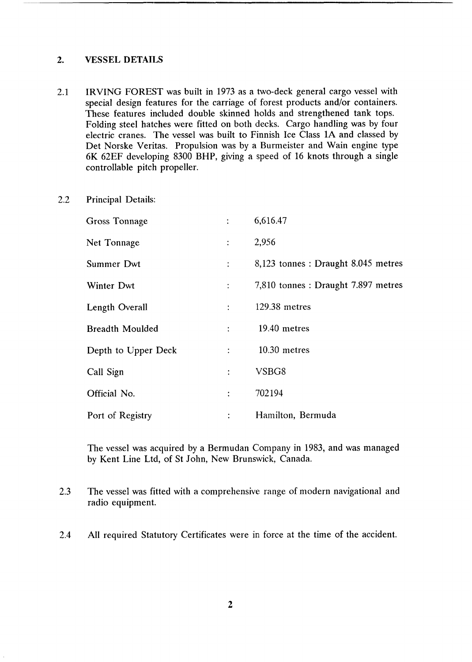#### <span id="page-5-0"></span>**2. VESSEL DETAILS**

- 2.1 IRVING FOREST was built in 1973 as **a** two-deck general cargo vessel with special design features for the carriage of forest products and/or containers. These features included double skinned holds and strengthened tank tops. Folding steel hatches were fitted on both decks. Cargo handling was by four electric cranes. The vessel was built to Finnish Ice Class 1A and classed by Det Norske Veritas. Propulsion was by a Burmeister and Wain engine type 6K 62EF developing 8300 BHP, giving a speed of 16 knots through a single controllable pitch propeller.
- 2.2 Principal Details:

| <b>Gross Tonnage</b>   | ÷                         | 6,616.47                            |
|------------------------|---------------------------|-------------------------------------|
| Net Tonnage            | $\ddot{\cdot}$            | 2,956                               |
| Summer Dwt             | ÷                         | 8,123 tonnes : Draught 8.045 metres |
| Winter Dwt             | $\ddot{\cdot}$            | 7,810 tonnes : Draught 7.897 metres |
| Length Overall         | ÷                         | 129.38 metres                       |
| <b>Breadth Moulded</b> | $\mathbb{R}^{\mathbb{Z}}$ | 19.40 metres                        |
| Depth to Upper Deck    | $\ddot{\cdot}$            | 10.30 metres                        |
| Call Sign              | $\ddot{\cdot}$            | VSBG8                               |
| Official No.           | $\ddot{\cdot}$            | 702194                              |
| Port of Registry       | $\ddot{\cdot}$            | Hamilton, Bermuda                   |

The vessel was acquired by a Bermudan Company in 1983, and was managed by Kent Line Ltd, of St John, New Brunswick, Canada.

- 2.3 The vessel was fitted with a comprehensive range of modern navigational and radio equipment.
- 2.4 All required Statutory Certificates were in force at the time of the accident.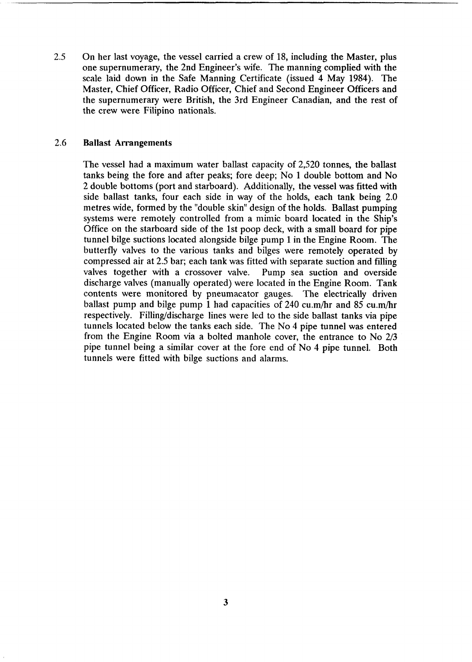*2.5* On her last voyage, the vessel carried a crew of 18, including the Master, plus one supernumerary, the 2nd Engineer's wife. The manning complied with the scale laid down in the Safe Manning Certificate (issued 4 May 1984). The Master, Chief Officer, Radio Officer, Chief and Second Engineer Officers and the supernumerary were British, the 3rd Engineer Canadian, and the rest of the crew were Filipino nationals.

## 2.6 **Ballast Arrangements**

The vessel had a maximum water ballast capacity of 2,520 tonnes, the ballast tanks being the fore and after peaks; fore deep; No 1 double bottom and No 2 double bottoms (port and starboard). Additionally, the vessel was fitted with side ballast tanks, four each side in way of the holds, each tank being 2.0 metres wide, formed by the "double skin" design of the holds. Ballast pumping systems were remotely controlled from a mimic board located in the Ship's Office on the starboard side of the 1st poop deck, with a small board for pipe tunnel bilge suctions located alongside bilge pump **1** in the Engine Room. The butterfly valves to the various tanks and bilges were remotely operated by compressed air at 2.5 bar; each tank was fitted with separate suction and filling valves together with a crossover valve. Pump sea suction and overside discharge valves (manually operated) were located in the Engine Room. Tank contents were monitored by pneumacator gauges. The electrically driven ballast pump and bilge pump 1 had capacities of 240 cu.m/hr and 85 cu.m/hr respectively. Filling/discharge lines were led to the side ballast tanks via pipe tunnels located below the tanks each side. The No **4** pipe tunnel was entered from the Engine Room via a bolted manhole cover, the entrance to No 2/3 pipe tunnel being a similar cover at the fore end of No 4 pipe tunnel. Both tunnels were fitted with bilge suctions and alarms.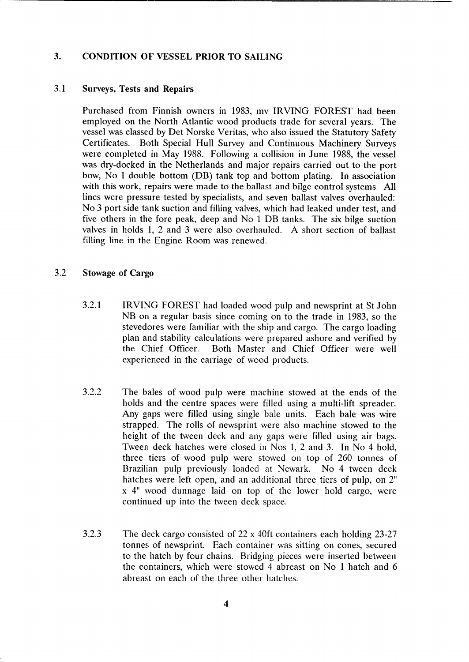# <span id="page-7-0"></span>**3. CONDITION OF VESSEL PRIOR TO SAILING**

#### 3.1 **Surveys, Tests and Repairs**

Purchased from Finnish owners in 1983, mv IRVING FOREST had been employed on the North Atlantic wood products trade for several years. The vessel was classed by Det Norske Veritas, who also issued the Statutory Safety Certificates. Both Special Hull Survey arid Continuous Machinery Surveys were completed in May 1988. Following **a** collision in June 1988, the vessel was dry-docked in the Netherlands and major repairs carried out to the port bow, No 1 double bottom (DB) tank top and bottom plating. In association with this work, repairs were made to the ballast and bilge control systems. All lines were pressure tested by specialists, and seven ballast valves overhauled: No 3 port side tank suction and filling valves, which had leaked under test, and five others in the fore peak, deep and No 1 DB tanks. The *six* bilge suction valves in holds 1, 2 and 3 were also overhauled. A short section of ballast filling line in the Engine Room was renewed.

#### 3.2 **Stowage of Cargo**

- 3.2.1 IRVING FOREST had loaded wood pulp and newsprint at St John NB on a regular basis since coming on to the trade in 1983, so the stevedores were familiar with the ship and cargo. The cargo loading plan and stability calculations were prepared ashore and verified by the Chief Officer. Both Master and Chief Officer were well experienced in the carriage of wood products.
- 3.2.2 The bales of wood pulp were machine stowed at the ends of the holds and the centre spaces were filled using a multi-lift spreader. **Any** gaps were filled using single bale units. Each bale was wire strapped. The rolls of newsprint were also machine stowed to the height of the tween deck and any gaps were filled using air bags. Tween deck hatches were closed in Nos 1, 2 and 3. In No 4 hold, three tiers of wood pulp were stowed on top of 260 tonnes of Brazilian pulp previously loaded at Newark. No 4 tween deck hatches were left open, and an additional three tiers of pulp, on 2" **x** 4" wood dunnage laid on top of the lower hold cargo, were continued up into the tween deck space.
- 3.2.3 The deck cargo consisted of 22 x 40ft containers each holding 23-27 tonnes of newsprint. Each container was sitting on cones, secured to the hatch by four chains. Bridging pieces were inserted between the containers, which were stowed 4 abreast on No 1 hatch and 6 abreast on each of the three other hatches.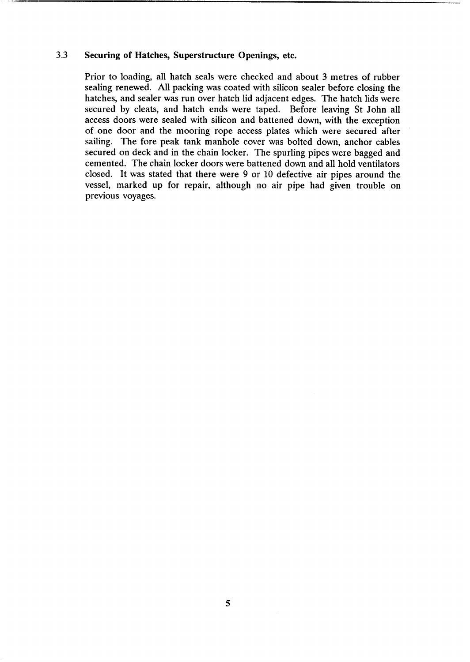# **3.3 Securing of Hatches, Superstructure Openings, etc.**

Prior to loading, all hatch seals were checked and about 3 metres of rubber sealing renewed. All packing was coated with silicon sealer before closing the hatches, and sealer was run over hatch lid adjacent edges. The hatch lids were secured by cleats, and hatch ends were taped. Before leaving **St** John all access doors were sealed with silicon and battened down, with the exception of one door and the mooring rope access plates which were secured after sailing. The fore peak tank manhole cover was bolted down, anchor cables secured on deck and in the chain locker. The spurling pipes were bagged and cemented. The chain locker doors were battened down and all hold ventilators closed. It was stated that there were 9 or 10 defective air pipes around the vessel, marked up for repair, although no air pipe had given trouble on previous voyages.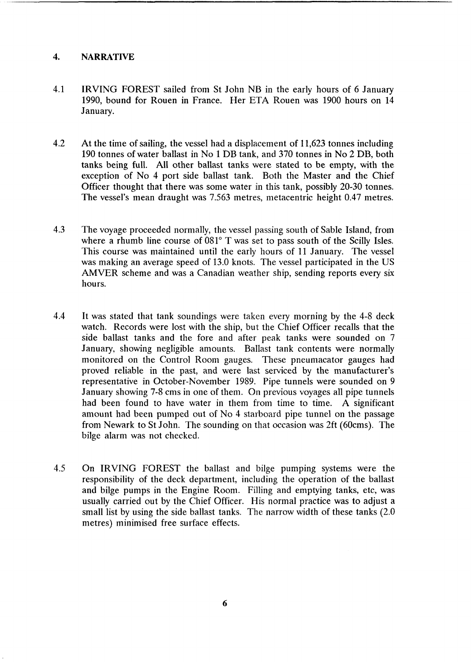## <span id="page-9-0"></span>**4. NARRATIVE**

- 4.1 IRVING FOREST sailed from St John NB in the early hours of 6 January 1990, bound for Rouen in France. Her **ETA** Rouen was 1900 hours on 14 January.
- 4.2 At the time of sailing, the vessel had a displacement of 11,623 tonnes including 190 tonnes of water ballast in No 1 DB tank, and 370 tonnes in No 2 DB, both tanks being full. All other ballast tanks were stated to be empty, with the exception of No **4** port side ballast tank. Both the Master and the Chief Officer thought that there was some water in this tank, possibly 20-30 tonnes. The vessel's mean draught was 7.563 metres, metacentric height 0.47 metres.
- 4.3 The voyage proceeded normally, the vessel passing south of Sable Island, from where a rhumb line course of  $081^\circ$  T was set to pass south of the Scilly Isles. This course was maintained until the early hours of 11 January. The vessel was making an average speed of 13.0 knots. The vessel participated in the US AMVER scheme and was a Canadian weather ship, sending reports every six hours.
- 4.4 It was stated that tank soundings were taken every morning by the 4-8 deck watch. Records were lost with the ship, but the Chief Officer recalls that the side ballast tanks and the fore and after peak tanks were sounded on 7 January, showing negligible amounts. Ballast tank contents were normally monitored on the Control Room gauges. These pneumacator gauges had proved reliable in the past, and were last serviced by the manufacturer's representative in October-November 1989. Pipe tunnels were sounded on 9 January showing 7-8 cms in one of them. **On** previous voyages all pipe tunnels had been found to have water in them from time to time. A significant amount had been pumped out of No 4 starboard pipe tunnel on the passage from Newark to St John. The sounding on that occasion was 2ft (60cms). The bilge alarm was not checked.
- 4.5 On IRVING FOREST the ballast and bilge pumping systems were the responsibility of the deck department, including the operation of the ballast and bilge pumps in the Engine Room. Filling and emptying tanks, etc, was usually carried out by the Chief Officer. His normal practice was to adjust a small list by using the side ballast tanks. The narrow width of these tanks (2.0 metres) minimised free surface effects.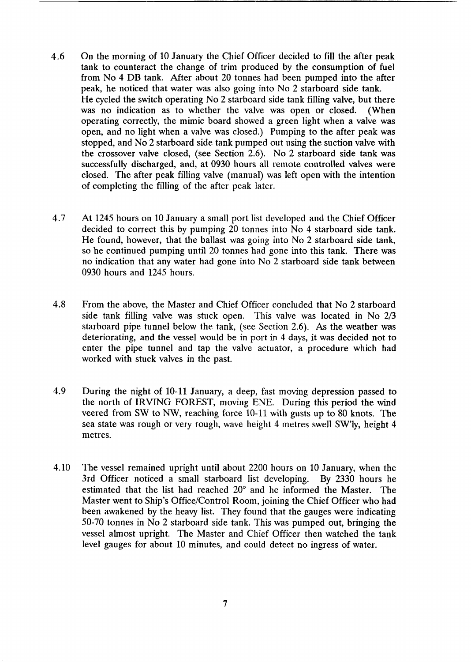- 4.6 On the morning of 10 January the Chief Officer decided to fill the after peak tank to counteract the change of trim produced by the consumption of fuel from No **4** DB tank. After about 20 tonnes had been pumped into the after peak, he noticed that water was also going into No 2 starboard side tank. He cycled the switch operating No 2 starboard side tank filling valve, but there was no indication as to whether the valve was open or closed. (When operating correctly, the mimic board showed a green light when a valve was open, and no light when a valve was closed.) Pumping to the after peak was stopped, and No 2 starboard side tank pumped out using the suction valve with the crossover valve closed, (see Section 2.6). No 2 starboard side tank was successfully discharged, and, at 0930 hours all remote controlled valves were closed. The after peak filling valve (manual) was left open with the intention of completing the filling of the after peak later.
- 4.7 At 1245 hours **on** 10 January a small port list developed and the Chief Officer decided to correct this by pumping 20 tonnes into No 4 starboard side tank. He found, however, that the ballast was going into No 2 starboard side tank, so he continued pumping until 20 tonnes had gone into this tank. There was no indication that any water had gone into No 2 starboard side tank between 0930 hours and 1245 hours.
- 4.8 From the above, the Master and Chief Officer concluded that No 2 starboard side tank filling valve was stuck open. This valve was located in No 2/3 starboard pipe tunnel below the tank, (see Section 2.6). **As** the weather was deteriorating, and the vessel would be in port in 4 days, it was decided not to enter the pipe tunnel and tap the valve actuator, a procedure which had worked with stuck valves in the past.
- 4.9 During the night of 10-11 January, a deep, fast moving depression passed to the north of IRVING FOREST, moving ENE. During this period the wind veered from **SW** to NW, reaching force **10-11** with gusts up to 80 knots. The sea state was rough or very rough, wave height 4 metres swell SW'ly, height **4**  metres.
- **4.10** The vessel remained upright until about 2200 hours on **10** January, when the **3rd** Officer noticed a small starboard list developing. By 2330 hours he estimated that the list had reached 20° and he informed the Master. The Master went to Ship's Office/Control Room, joining the Chief Officer who had been awakened by the heavy list. They found that the gauges were indicating 50-70 tonnes in No 2 starboard side tank. This was pumped out, bringing the vessel almost upright. The Master and Chief Officer then watched the tank level gauges for about 10 minutes, and could detect no ingress of water.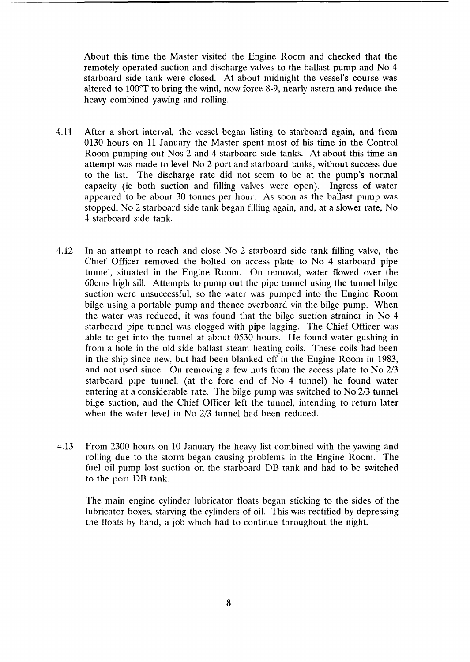About this time the Master visited the Engine Room and checked that the remotely operated suction and discharge valves to the ballast pump and No **4**  starboard side tank were closed. At about midnight the vessel's course was altered to  $100^{\circ}$ T to bring the wind, now force 8-9, nearly astern and reduce the heavy combined yawing and rolling.

- 4.11 After a short interval, the vessel began listing to starboard again, and from 0130 hours on 11 January the Master spent most of his time in the Control Room pumping out Nos 2 and **4** starboard side tanks. At about this time an attempt was made to level No 2 port and starboard tanks, without success due to the list. The discharge rate did not seem to be at the pump's normal capacity (ie both suction and filling valves were open). Ingress of water appeared to be about 30 tonnes per hour. **As** soon as the ballast pump was stopped, No 2 sitarboard side tank began filling again, and, at a slower rate, No 4 starboard side tank.
- 4.12 In an attempt to reach and close No 2 starboard side tank filling valve, the Chief Officer removed the bolted on access plate to No **4** starboard pipe tunnel, situated in the Engine Room. On removal, water flowed over the 60cms high sill. Attempts to pump out the pipe tunnel using the tunnel bilge suction were unsuccessful, so the water was pumped into the Engine Room bilge using a portable pump and thence overboard via the bilge pump. When the water was reduced, it was found that the bilge suction strainer **in** No **4**  starboard pipe tunnel was clogged with pipe lagging. The Chief Officer was able to get into the tunnel at about 0530 hours. He found water gushing in from a hole in the old side ballast steam heating coils. These coils had been in the ship since new, but had been blanked off in the Engine Room in 1983, and not used since. On removing a few nuts from the access plate to No 2/3 starboard pipe tunnel, (at the fore end of No **4** tunnel) he found water entering at a considerable rate. The bilge pump was switched to No 2/3 tunnel bilge suction, and the Chief Officer left the tunnel, intending to return later when the water level in No 2/3 tunnel had been reduced.
- **4.13** From 2300 hours on 10 January the heavy list combined with the yawing and rolling due to the storm began causing problems in the Engine Room. The fuel oil pump lost suction on the starboard DB tank and had to be switched to the port DB tank.

The main engine cylinder lubricator floats began sticking to the sides of the lubricator boxes, starving the cylinders of oil. This was rectified by depressing the floats by hand, a job which had to continue throughout the night.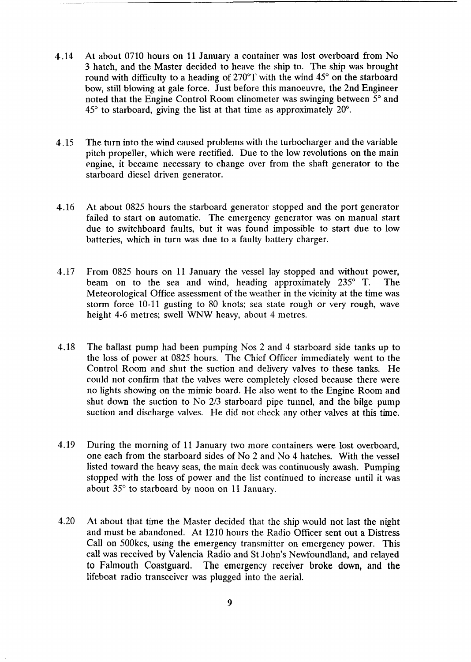- **4.14** At about **0710** hours on **11** January a container was lost overboard from No **3** hatch, and the Master decided to heave the ship to. The ship was brought round with difficulty to a heading of  $270^{\circ}$ T with the wind  $45^{\circ}$  on the starboard bow, still blowing at gale force. Just before this manoeuvre, the 2nd Engineer noted that the Engine Control Room clinometer was swinging between *5"* and **45"** to starboard, giving the list at that time as approximately 20".
- **4.15** The turn into the wind caused problems with the turbocharger and the variable pitch propeller, which were rectified. Due to the low revolutions on the main engine, it became necessary to change over from the shaft generator to the starboard diesel driven generator.
- **4.16** At about 0825 hours the starboard generator stopped and the port generator failed to start on automatic. The emergency generator was on manual start due to switchboard faults, but it was found impossible to start due to low batteries, which in turn was due to a faulty battery charger.
- **4.17** From **0825** hours on **11** January the vessel lay stopped and without power, beam on to the sea and wind, heading approximately **235" T.** The Meteorological Office assessment of the weather in the vicinity at the time was storm force **10-11** gusting to 80 knots; sea state rough or very rough, wave height **4-6** metres; swell WNW heavy, about 4 metres.
- **4.18** The ballast pump had been pumping Nos **2** and 4 starboard side tanks up to the loss of power at 0825 hours. The Chief Officer immediately went to the Control Room and shut the suction and delivery valves to these tanks. He could not confirm that the valves were completely closed because there were no lights showing on the mimic board. He also went to the Engine Room and shut down the suction to No **2/3** starboard pipe tunnel, and the bilge pump suction and discharge valves. He did not check any other valves at this time.
- **4.19** During the morning of **11** January two more containers were lost overboard, one each from the starboard sides of No **2** and No **4** hatches. With the vessel listed toward the heavy seas, the main deck was continuously awash. Pumping stopped with the loss of power and the list continued to increase until it was about **35"** to starboard by noon on **11** January.
- **4.20** At about that time the Master decided that the ship would not last the night and must be abandoned. At **1210** hours the Radio Officer sent out a Distress Call on 500kcs, using the emergency transmitter on emergency power. This call was received by Valencia Radio and **St** John's Newfoundland, and relayed to Falmouth **Coastguard. The emergency receiver broke down, and the**  lifeboat radio transceiver was plugged into the aerial.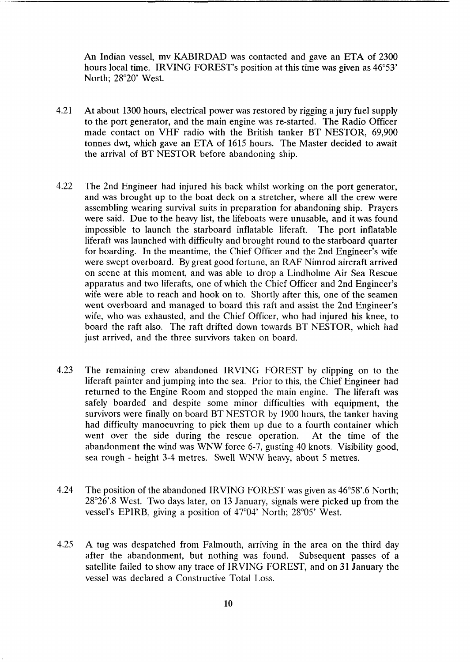*An* Indian vessel, mv KABIRDAD was contacted and gave an ETA of 2300 hours local time. IRVING FOREST's position at this time was given as 46°53' North; 28°20' West.

- 4.21 At about 1300 hours, electrical power was restored by rigging a jury fuel supply to the port generator, and the main engine was re-started. The Radio Officer made contact on VHF radio with the British tanker BT NESTOR, 69,900 tonnes dwt, which gave an ETA of 1615 hours. The Master decided to await the arrival of **BT** NESTOR before abandoning ship.
- 4.22 The 2nd Engineer had injured his back whilst working on the port generator, and was brought up to the boat deck on a stretcher, where all the crew were assembling wearing survival suits in preparation for abandoning ship. Prayers were said. Due to the heavy list, the lifeboats were unusable, and it was found impossible to launch the starboard inflatable liferaft. The port inflatable liferaft was launched with difficulty and brought round to the starboard quarter for boarding. In the meantime, the Chief Officer and the 2nd Engineer's wife were swept overboard. By great good fortune, an RAF Nimrod aircraft arrived on scene at this, moment, and was able to drop a Lindholme Air Sea Rescue apparatus and two liferafts, one of which the Chief Officer and 2nd Engineer's wife were able to reach and hook on to. Shortly after this, one of the seamen went overboard and managed to board this raft and assist the 2nd Engineer's wife, who was exhausted, and the Chief Officer, who had injured his knee, to board the raft also. The raft drifted down towards BT NESTOR, which had just arrived, and the three survivors taken on board.
- 4.23 The remaining crew abandoned IRVING FOREST by clipping on to the liferaft painter and jumping into the sea. Prior to this, the Chief Engineer had returned to the Engine Room and stopped the main engine. The liferaft was safely boarded and despite some minor difficulties with equipment, the survivors were finally on board BT NESTOR by 1900 hours, the tanker having had difficulty manoeuvring to pick them up due to a fourth container which went over the side during the rescue operation. At the time of the abandonment the wind was WNW force 6-7, gusting 40 knots. Visibility good, sea rough - height 3-4 metres. Swell WNW heavy, about 5 metres.
- 4.24 The position of the abandoned IRVING FOREST was given as 46°58'.6 North;  $28^{\circ}26'$ .8 West. Two days later, on 13 January, signals were picked up from the vessel's EPIRB, giving a position of  $47^{\circ}04'$  North;  $28^{\circ}05'$  West.
- 4.25 A tug was despatched from Falmouth, arriving in the area on the third day after the abandonment, but nothing was found. Subsequent passes of a satellite failed to show any trace of IRVING FOREST, and on 31 January the vessel was declared a Constructive Total Loss.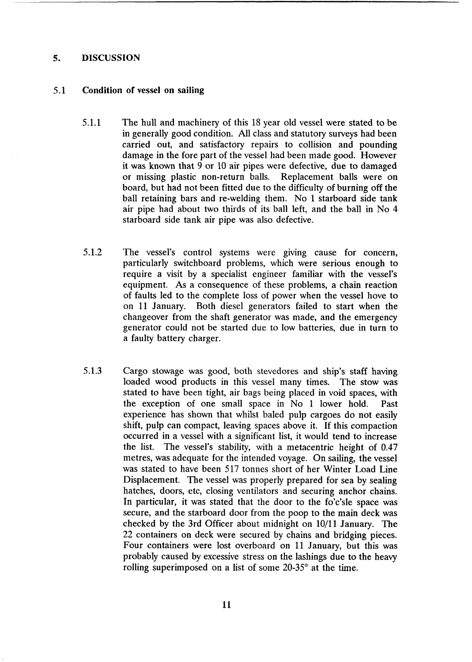#### <span id="page-14-0"></span>*5.* **DISCUSSION**

#### 5.1 **Condition of vessel on sailing**

- 5.1.1 The hull and machinery of this 18 year old vessel were stated to be in generally good condition. All class and statutory surveys had been carried out, and satisfactory repairs to collision and pounding damage in the fore part of the vessel had been made good. However it was known that 9 or 10 air pipes were defective, due to damaged or missing plastic non-return balls. Replacement balls were on board, but had not been fitted due to the difficulty of burning off the ball retaining bars and re-welding them. No 1 starboard side tank air pipe had about two thirds **of** its ball left, and the ball in No **4**  starboard side tank air pipe was also defective.
- 5.1.2 The vessel's control systems were giving cause for concern, particularly switchboard problems, which were serious enough to require a visit by a specialist engineer familiar with the vessel's equipment. **As** a consequence of these problems, a chain reaction of faults led to the complete loss of power when the vessel hove to on 11 January. Both diesel generators failed to start when the changeover from the shaft generator was made, and the emergency generator could not be started due to low batteries, due in turn to a faulty battery charger.
- 5.1.3 Cargo stowage was good, both stevedores and ship's staff having loaded wood products in this vessel many times. The stow was stated to have been tight, air bags being placed in void spaces, with the exception of one small space in No 1 lower hold. Past experience has shown that whilst baled pulp cargoes do not easily shift, pulp can compact, leaving spaces above it. If this compaction occurred in a vessel with a significant list, it would tend to increase the list. The vessel's stability, with a metacentric height of 0.47 metres, was adequate for the intended voyage. On sailing, the vessel was stated to have been 517 tonnes short of her Winter Load Line Displacement. The vessel was properly prepared for sea by sealing hatches, doors, etc, closing ventilators and securing anchor chains. In particular, it was stated that the door to the fo'c'sle space was secure, and the starboard door from the poop to the main deck was checked by the 3rd Officer about midnight on 10/11 January. The 22 containers on deck were secured by chains and bridging pieces. Four containers were lost overboard on 11 January, but this was probably caused by excessive stress on the lashings due to the heavy rolling superimposed on a list of some 20-35° at the time.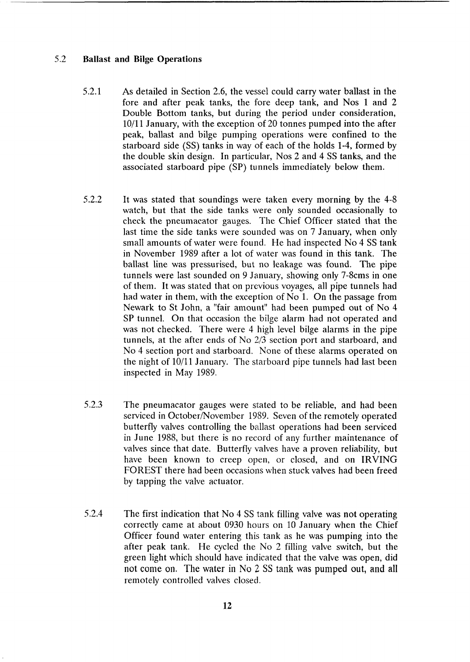# 5.2 Ballast and **Bilge** Operations

- 5.2.1 **As** detailed in Section 2.6, the vessel could carry water ballast in the fore and after peak tanks, the fore deep tank, and Nos 1 and **2**  Double Bottom tanks, but during the period under consideration,  $10/11$  January, with the exception of 20 tonnes pumped into the after peak, ballast and bilge pumping operations were confined to the starboard side (SS) tanks in way of each of the holds 1-4, formed by the double skin design. In particular, Nos 2 and 4 SS tanks, and the associated starboard pipe (SP) tunnels immediately below them.
- 5.2.2 It was stated that soundings were taken every morning by the 4-8 watch, but that the side tanks were only sounded occasionally to check the pneumacator gauges. The Chief Officer stated that the last time the side tanks were sounded was on 7 January, when only small amounts of water were found. He had inspected No 4 SS tank in November 1989 after a lot of water was found in this tank. The ballast line was pressurised, but no leakage was found. The pipe tunnels were last sounded on 9 January, showing only 7-8cms in one of them. It was stated that on previous voyages, all pipe tunnels had had water in them, with the exception of No 1. On the passage from Newark to St John, a "fair amount" had been pumped out of No **4**  SP tunnel. On that occasion the bilge alarm had not operated and was not checked. There were 4 high level bilge alarms in the pipe tunnels, at the after ends of No *2/3* section port and starboard, and No 4 section port and starboard. None of these alarms operated on the night of 10/11 January. The starboard pipe tunnels had last been inspected in May 1989.
- 5.2.3 The pneumacator gauges were stated to be reliable, and had been serviced in October/November 1989. Seven of the remotely operated butterfly valves controlling the ballast operations had been serviced in June 1988, but there is no record of any further maintenance of valves since that date. Butterfly valves have a proven reliability, but have been known to creep open, or closed, and on IRVING FOREST there had been occasions when stuck valves had been freed by tapping the valve actuator.
- 5.2.4 The first indication that No 4 SS tank filling valve was not operating correctly came at about 0930 hours on 10 January when the Chief Officer found water entering this tank as he was pumping into the after peak tank. He cycled the No 2 filling valve switch, but the green light which should have indicated that the valve was open, did not come on. The water in No **2** SS tank was pumped out, and all remotely controlled valves closed.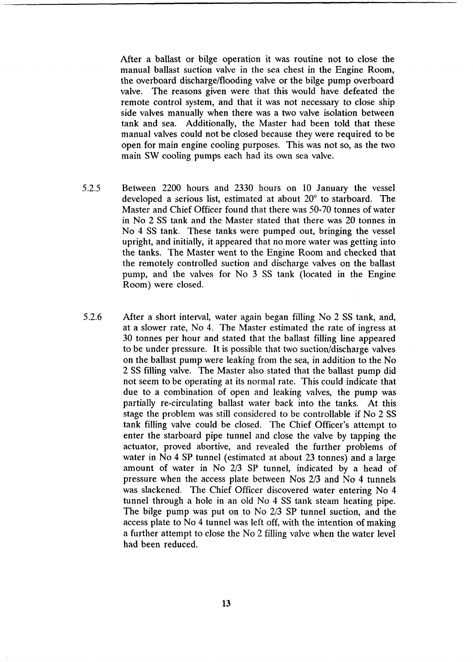After a ballast or bilge operation it was routine not to close the manual ballast suction valve in the sea chest in the Engine Room, the overboard discharge/flooding valve or the bilge pump overboard valve. The reasons given were that this would have defeated the remote control system, and that it was not necessary to close ship side valves manually when there was a two valve isolation between tank and sea. Additionally, the Master had been told that these manual valves could not be closed because they were required to be open for main engine cooling purposes. This was not so, as the two main **SW** cooling pumps each had its own sea valve.

- **5.2.5** Between **2200** hours and **2330** hours on 10 January the vessel developed a serious list, estimated at about  $20^{\circ}$  to starboard. The Master and Chief Officer found that there was 50-70 tonnes of water in No 2 SS tank and the Master stated that there was 20 tonnes in No **4** *SS* tank. These tanks were pumped out, bringing the vessel upright, and initially, it appeared that no more water was getting into the tanks. The Master went to the Engine Room and checked that the remotely controlled suction and discharge valves on the ballast pump, and the valves for No **3** SS tank (located in the Engine Room') were closed.
- **5.2.6** After **a** short interval, water again began filling No **2 SS** tank, and, at a slower rate, No **4.** The Master estimated the rate of ingress at **30** tonnes per hour and stated that the ballast filling line appeared to be under pressure. It is possible that two suction/discharge valves on the ballast pump were leaking from the sea, in addition to the No 2 **SS** filling valve. The Master also stated that the ballast pump did not seem to be operating at its normal rate. This could indicate that due to a combination of open and leaking valves, the pump was partially re-circulating ballast water back into the tanks. At this stage the problem was still considered to be controllable if No **2** SS tank filling valve could be closed. The Chief Officer's attempt to enter the starboard pipe tunnel and close the valve by tapping the actuator, proved abortive, and revealed the further problems of water in No **4** SP tunnel (estimated **at** about **23** tonnes) and **a** large amount of water in No **2/3 SP** tunnel, indicated by a head of pressure when the access plate between Nos 2/3 and No **4** tunnels was slackened. The Chief Officer discovered water entering No **4**  tunnel through a hole in an old No 4 SS tank steam heating pipe. The bilge pump was put on to No 2/3 SP tunnel suction, and the access plate to No **4** tunnel was left off, with the intention of making a further attempt to close the No 2 filling valve when the water level had been reduced.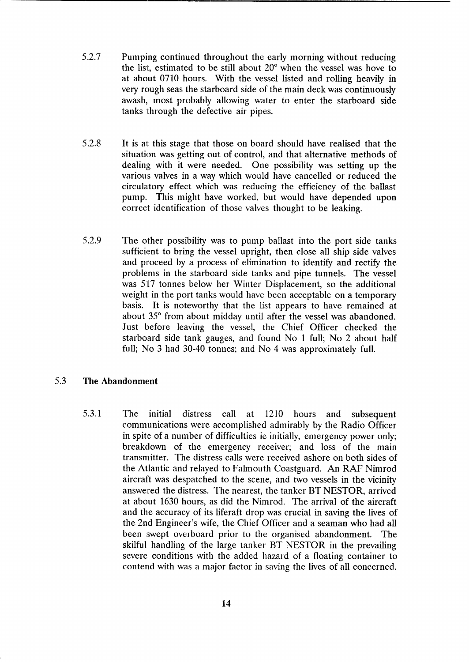- 5.2.7 Pumping continued throughout the early morning without reducing the list, estimated to be still about  $20^{\circ}$  when the vessel was hove to at about 0710 hours. With the vessel listed and rolling heavily in very rough seas the starboard side of the main deck was continuously awash, most probably allowing water to enter the starboard side tanks through the defective air pipes.
- 5.2.8 It is at this stage that those on board should have realised that the situation was getting out of control, and that alternative methods of dealing with it were needed. One possibility was setting up the various valves in a way which would have cancelled or reduced the circulatory effect which was reducing the efficiency of the ballast pump. This might have worked, but would have depended upon correct identification of those valves thought to be leaking.
- 5.2.9 The other possibility was to pump ballast into the port side tanks sufficient to bring the vessel upright, then close all ship side valves and proceed by a process of elimination to identify and rectify the problems in the starboard side tanks and pipe tunnels. The vessel was 517 tonnes below her Winter Displacement, so the additional weight in the port tanks would have been acceptable on a temporary basis. It is noteworthy that the list appears to have remained at about  $35^{\circ}$  from about midday until after the vessel was abandoned. Just before leaving the vessel, the Chief Officer checked the starboard side tank gauges, and found No 1 full; No 2 about half full; No 3 had 30-40 tonnes; and No 4 was approximately full.

## 5.3 **The Abandonment**

5.3.1 The initial distress call at 1210 hours and subsequent communications were accomplished admirably by the Radio Officer in spite of a number of difficulties ie initially, emergency power only; breakdown of the emergency receiver; and loss of the main transmitter. The distress calls were received ashore on both sides of the Atlantic and relayed to Falmouth Coastguard. *An* RAF Nimrod aircraft was despatched to the scene, and two vessels in the vicinity answered the distress. The nearest, the tanker BT NESTOR, arrived at about 1630 hours, as did the Nimrod. The arrival of the aircraft and the accuracy of its liferaft drop was crucial in saving the lives of the 2nd Engineer's wife, the Chief Officer and a seaman who had all been swept overboard prior to the organised abandonment. The skilful handling of the large tanker BT NESTOR in the prevailing severe conditions with the added hazard of a floating container to contend with was a major factor in saving the lives of all concerned.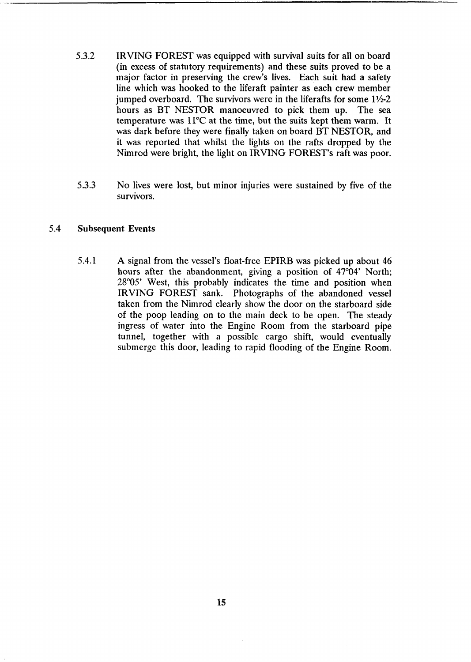- **5.3.2** IRVING FOREST was equipped with survival suits for all on board (in excess of statutory requirements) and these suits proved to be a major factor in preserving the crew's lives. Each suit had a safety line which was hooked to the liferaft painter as each crew member jumped overboard. The survivors were in the liferafts for some  $1\frac{1}{2}$ -2 hours **as** BT NESTOR manoeuvred to pick them up. The sea temperature was 11°C at the time, but the suits kept them warm. It was dark before they were finally taken on board BT NESTOR, and it was reported that whilst the lights on the rafts dropped by the Nimrod were bright, the light on IRVING FOREST's raft was poor.
- **5.3.3** No lives were lost, but minor injuiries were sustained by five of the Survivors.

## **5.4 Subsequent Events**

**5.4.1 A** signal from the vessel's float-free EPIRB was picked up about **46**  hours after the abandonment, giving a position of  $47^{\circ}04'$  North; 28°05' West, this probably indicates the time and position when IRVING FOREST sank. Photographs of the abandoned vessel taken from the Nimrod clearly show the door on the starboard side of the poop leading on to the main deck to be open. The steady ingress of water into the Engine Room from the starboard pipe tunnel, together with a possible: cargo shift, would eventually submerge this door, leading to rapid flooding of the Engine Room.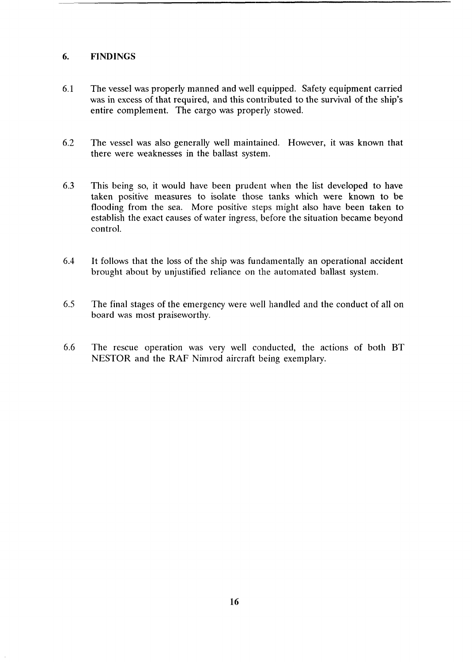## <span id="page-19-0"></span>**6. FINDINGS**

- 6.1 The vessel was properly manned and well equipped. Safety equipment carried was in excess of that required, and this contributed to the survival of the ship's entire complement. The cargo was properly stowed.
- 6.2 The vessel was also generally well maintained. However, it was known that there were weaknesses in the ballast system.
- 6.3 This being so, it would have been prudent when the list developed to have taken positive measures to isolate those tanks which were known to be flooding from the sea. More positive steps might also have been taken to establish the exact causes of water ingress, before the situation became beyond control.
- 6.4 It follows that the loss of the ship was fundamentally an operational accident brought about by unjustified reliance on the automated ballast system.
- 6.5 The final stages of the emergency were well handled and the conduct of all on board was most praiseworthy.
- 6.6 The rescue operation was very well conducted, the actions of both BT NESTOR and the **RAF** Nimrod aircraft being exemplary.